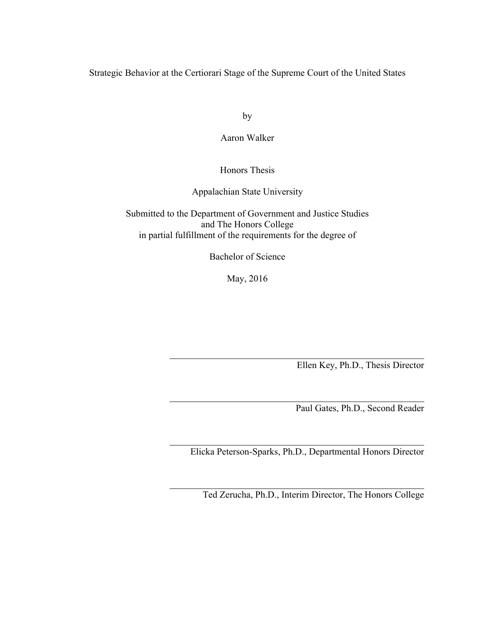Strategic Behavior at the Certiorari Stage of the Supreme Court of the United States

by

## Aaron Walker

# Honors Thesis

# Appalachian State University

Submitted to the Department of Government and Justice Studies and The Honors College in partial fulfillment of the requirements for the degree of

Bachelor of Science

May, 2016

Ellen Key, Ph.D., Thesis Director

Paul Gates, Ph.D., Second Reader

Elicka Peterson-Sparks, Ph.D., Departmental Honors Director

Ted Zerucha, Ph.D., Interim Director, The Honors College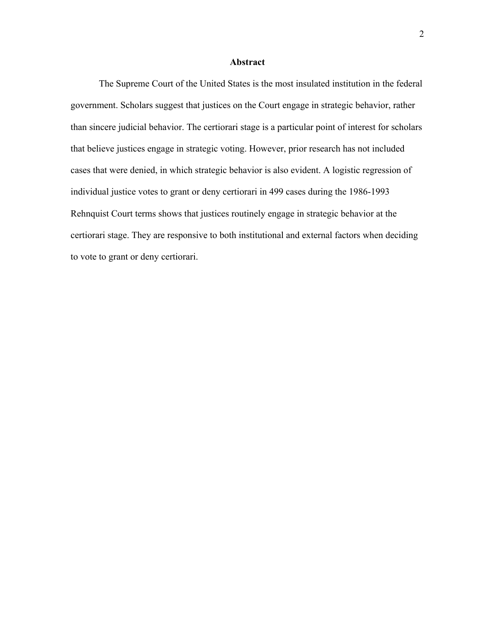## **Abstract**

The Supreme Court of the United States is the most insulated institution in the federal government. Scholars suggest that justices on the Court engage in strategic behavior, rather than sincere judicial behavior. The certiorari stage is a particular point of interest for scholars that believe justices engage in strategic voting. However, prior research has not included cases that were denied, in which strategic behavior is also evident. A logistic regression of individual justice votes to grant or deny certiorari in 499 cases during the 1986-1993 Rehnquist Court terms shows that justices routinely engage in strategic behavior at the certiorari stage. They are responsive to both institutional and external factors when deciding to vote to grant or deny certiorari.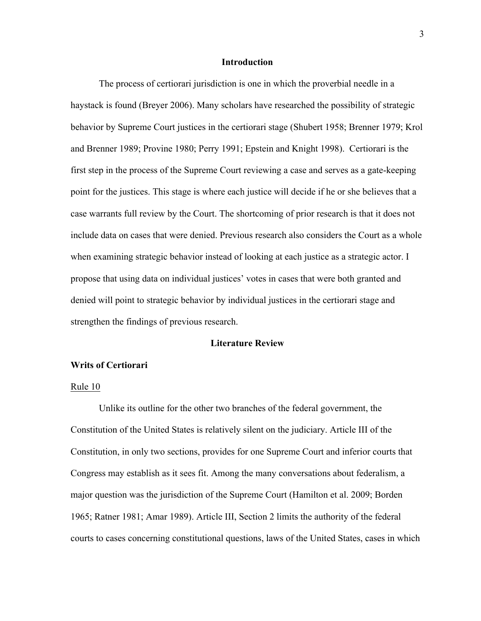#### **Introduction**

The process of certiorari jurisdiction is one in which the proverbial needle in a haystack is found (Breyer 2006). Many scholars have researched the possibility of strategic behavior by Supreme Court justices in the certiorari stage (Shubert 1958; Brenner 1979; Krol and Brenner 1989; Provine 1980; Perry 1991; Epstein and Knight 1998). Certiorari is the first step in the process of the Supreme Court reviewing a case and serves as a gate-keeping point for the justices. This stage is where each justice will decide if he or she believes that a case warrants full review by the Court. The shortcoming of prior research is that it does not include data on cases that were denied. Previous research also considers the Court as a whole when examining strategic behavior instead of looking at each justice as a strategic actor. I propose that using data on individual justices' votes in cases that were both granted and denied will point to strategic behavior by individual justices in the certiorari stage and strengthen the findings of previous research.

#### **Literature Review**

#### **Writs of Certiorari**

#### Rule 10

Unlike its outline for the other two branches of the federal government, the Constitution of the United States is relatively silent on the judiciary. Article III of the Constitution, in only two sections, provides for one Supreme Court and inferior courts that Congress may establish as it sees fit. Among the many conversations about federalism, a major question was the jurisdiction of the Supreme Court (Hamilton et al. 2009; Borden 1965; Ratner 1981; Amar 1989). Article III, Section 2 limits the authority of the federal courts to cases concerning constitutional questions, laws of the United States, cases in which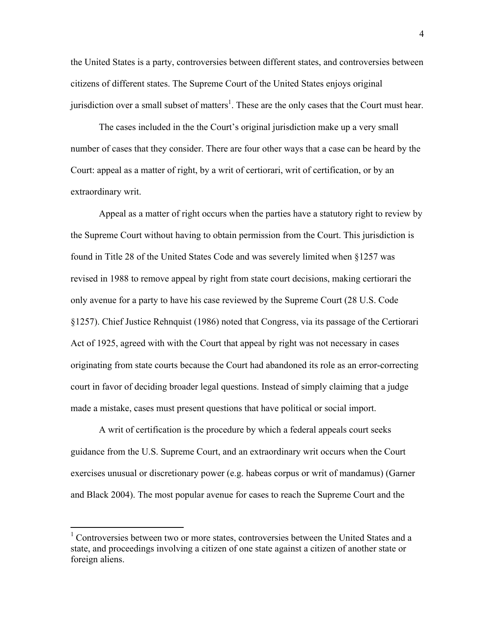the United States is a party, controversies between different states, and controversies between citizens of different states. The Supreme Court of the United States enjoys original jurisdiction over a small subset of matters<sup>1</sup>. These are the only cases that the Court must hear.

The cases included in the the Court's original jurisdiction make up a very small number of cases that they consider. There are four other ways that a case can be heard by the Court: appeal as a matter of right, by a writ of certiorari, writ of certification, or by an extraordinary writ.

Appeal as a matter of right occurs when the parties have a statutory right to review by the Supreme Court without having to obtain permission from the Court. This jurisdiction is found in Title 28 of the United States Code and was severely limited when §1257 was revised in 1988 to remove appeal by right from state court decisions, making certiorari the only avenue for a party to have his case reviewed by the Supreme Court (28 U.S. Code §1257). Chief Justice Rehnquist (1986) noted that Congress, via its passage of the Certiorari Act of 1925, agreed with with the Court that appeal by right was not necessary in cases originating from state courts because the Court had abandoned its role as an error-correcting court in favor of deciding broader legal questions. Instead of simply claiming that a judge made a mistake, cases must present questions that have political or social import.

A writ of certification is the procedure by which a federal appeals court seeks guidance from the U.S. Supreme Court, and an extraordinary writ occurs when the Court exercises unusual or discretionary power (e.g. habeas corpus or writ of mandamus) (Garner and Black 2004). The most popular avenue for cases to reach the Supreme Court and the

<sup>&</sup>lt;sup>1</sup> Controversies between two or more states, controversies between the United States and a state, and proceedings involving a citizen of one state against a citizen of another state or foreign aliens.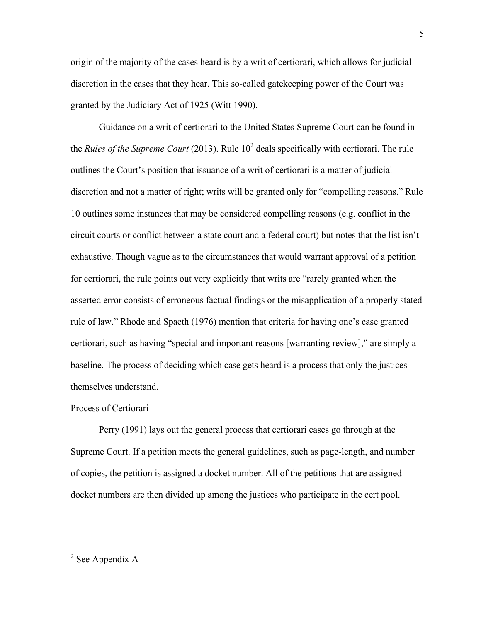origin of the majority of the cases heard is by a writ of certiorari, which allows for judicial discretion in the cases that they hear. This so-called gatekeeping power of the Court was granted by the Judiciary Act of 1925 (Witt 1990).

Guidance on a writ of certiorari to the United States Supreme Court can be found in the *Rules of the Supreme Court* (2013). Rule  $10<sup>2</sup>$  deals specifically with certiorari. The rule outlines the Court's position that issuance of a writ of certiorari is a matter of judicial discretion and not a matter of right; writs will be granted only for "compelling reasons." Rule 10 outlines some instances that may be considered compelling reasons (e.g. conflict in the circuit courts or conflict between a state court and a federal court) but notes that the list isn't exhaustive. Though vague as to the circumstances that would warrant approval of a petition for certiorari, the rule points out very explicitly that writs are "rarely granted when the asserted error consists of erroneous factual findings or the misapplication of a properly stated rule of law." Rhode and Spaeth (1976) mention that criteria for having one's case granted certiorari, such as having "special and important reasons [warranting review]," are simply a baseline. The process of deciding which case gets heard is a process that only the justices themselves understand.

#### Process of Certiorari

Perry (1991) lays out the general process that certiorari cases go through at the Supreme Court. If a petition meets the general guidelines, such as page-length, and number of copies, the petition is assigned a docket number. All of the petitions that are assigned docket numbers are then divided up among the justices who participate in the cert pool.

<sup>5</sup>

 $2$  See Appendix A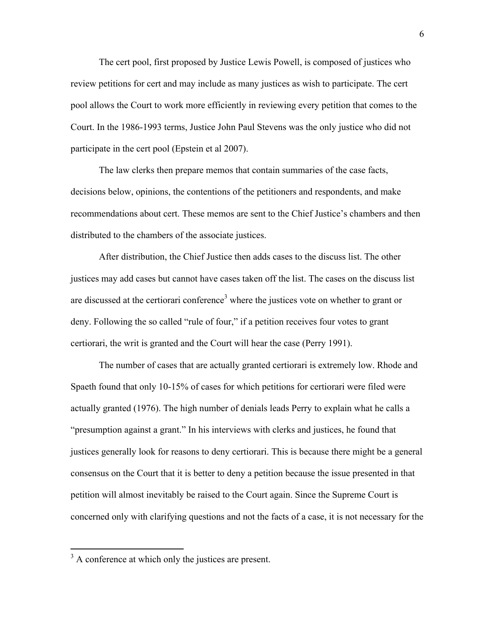The cert pool, first proposed by Justice Lewis Powell, is composed of justices who review petitions for cert and may include as many justices as wish to participate. The cert pool allows the Court to work more efficiently in reviewing every petition that comes to the Court. In the 1986-1993 terms, Justice John Paul Stevens was the only justice who did not participate in the cert pool (Epstein et al 2007).

The law clerks then prepare memos that contain summaries of the case facts, decisions below, opinions, the contentions of the petitioners and respondents, and make recommendations about cert. These memos are sent to the Chief Justice's chambers and then distributed to the chambers of the associate justices.

After distribution, the Chief Justice then adds cases to the discuss list. The other justices may add cases but cannot have cases taken off the list. The cases on the discuss list are discussed at the certiorari conference<sup>3</sup> where the justices vote on whether to grant or deny. Following the so called "rule of four," if a petition receives four votes to grant certiorari, the writ is granted and the Court will hear the case (Perry 1991).

The number of cases that are actually granted certiorari is extremely low. Rhode and Spaeth found that only 10-15% of cases for which petitions for certiorari were filed were actually granted (1976). The high number of denials leads Perry to explain what he calls a "presumption against a grant." In his interviews with clerks and justices, he found that justices generally look for reasons to deny certiorari. This is because there might be a general consensus on the Court that it is better to deny a petition because the issue presented in that petition will almost inevitably be raised to the Court again. Since the Supreme Court is concerned only with clarifying questions and not the facts of a case, it is not necessary for the

 $3 \text{ A}$  conference at which only the justices are present.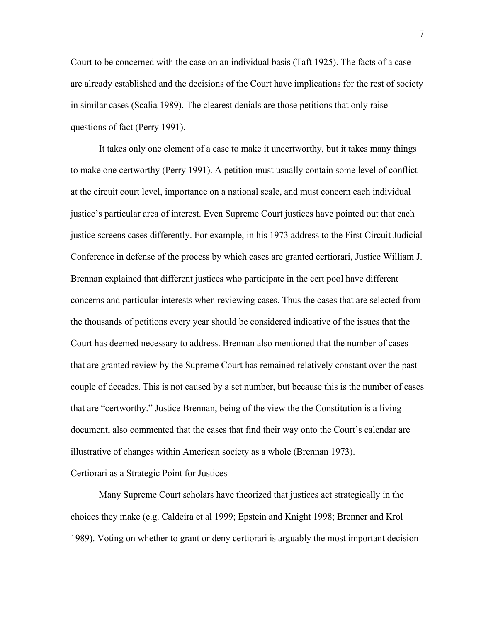Court to be concerned with the case on an individual basis (Taft 1925). The facts of a case are already established and the decisions of the Court have implications for the rest of society in similar cases (Scalia 1989). The clearest denials are those petitions that only raise questions of fact (Perry 1991).

It takes only one element of a case to make it uncertworthy, but it takes many things to make one certworthy (Perry 1991). A petition must usually contain some level of conflict at the circuit court level, importance on a national scale, and must concern each individual justice's particular area of interest. Even Supreme Court justices have pointed out that each justice screens cases differently. For example, in his 1973 address to the First Circuit Judicial Conference in defense of the process by which cases are granted certiorari, Justice William J. Brennan explained that different justices who participate in the cert pool have different concerns and particular interests when reviewing cases. Thus the cases that are selected from the thousands of petitions every year should be considered indicative of the issues that the Court has deemed necessary to address. Brennan also mentioned that the number of cases that are granted review by the Supreme Court has remained relatively constant over the past couple of decades. This is not caused by a set number, but because this is the number of cases that are "certworthy." Justice Brennan, being of the view the the Constitution is a living document, also commented that the cases that find their way onto the Court's calendar are illustrative of changes within American society as a whole (Brennan 1973).

#### Certiorari as a Strategic Point for Justices

Many Supreme Court scholars have theorized that justices act strategically in the choices they make (e.g. Caldeira et al 1999; Epstein and Knight 1998; Brenner and Krol 1989). Voting on whether to grant or deny certiorari is arguably the most important decision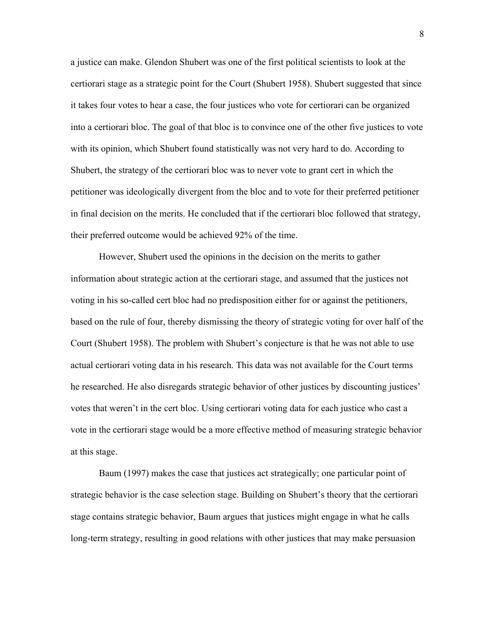a justice can make. Glendon Shubert was one of the first political scientists to look at the certiorari stage as a strategic point for the Court (Shubert 1958). Shubert suggested that since it takes four votes to hear a case, the four justices who vote for certiorari can be organized into a certiorari bloc. The goal of that bloc is to convince one of the other five justices to vote with its opinion, which Shubert found statistically was not very hard to do. According to Shubert, the strategy of the certiorari bloc was to never vote to grant cert in which the petitioner was ideologically divergent from the bloc and to vote for their preferred petitioner in final decision on the merits. He concluded that if the certiorari bloc followed that strategy, their preferred outcome would be achieved 92% of the time.

However, Shubert used the opinions in the decision on the merits to gather information about strategic action at the certiorari stage, and assumed that the justices not voting in his so-called cert bloc had no predisposition either for or against the petitioners, based on the rule of four, thereby dismissing the theory of strategic voting for over half of the Court (Shubert 1958). The problem with Shubert's conjecture is that he was not able to use actual certiorari voting data in his research. This data was not available for the Court terms he researched. He also disregards strategic behavior of other justices by discounting justices' votes that weren't in the cert bloc. Using certiorari voting data for each justice who cast a vote in the certiorari stage would be a more effective method of measuring strategic behavior at this stage.

Baum (1997) makes the case that justices act strategically; one particular point of strategic behavior is the case selection stage. Building on Shubert's theory that the certiorari stage contains strategic behavior, Baum argues that justices might engage in what he calls long-term strategy, resulting in good relations with other justices that may make persuasion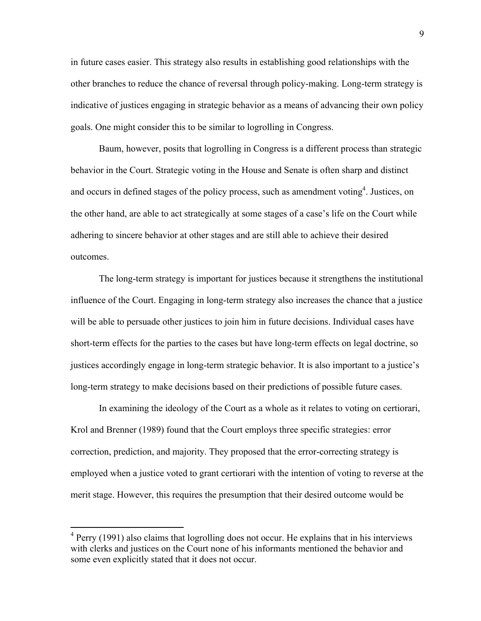in future cases easier. This strategy also results in establishing good relationships with the other branches to reduce the chance of reversal through policy-making. Long-term strategy is indicative of justices engaging in strategic behavior as a means of advancing their own policy goals. One might consider this to be similar to logrolling in Congress.

Baum, however, posits that logrolling in Congress is a different process than strategic behavior in the Court. Strategic voting in the House and Senate is often sharp and distinct and occurs in defined stages of the policy process, such as amendment voting<sup>4</sup>. Justices, on the other hand, are able to act strategically at some stages of a case's life on the Court while adhering to sincere behavior at other stages and are still able to achieve their desired outcomes.

The long-term strategy is important for justices because it strengthens the institutional influence of the Court. Engaging in long-term strategy also increases the chance that a justice will be able to persuade other justices to join him in future decisions. Individual cases have short-term effects for the parties to the cases but have long-term effects on legal doctrine, so justices accordingly engage in long-term strategic behavior. It is also important to a justice's long-term strategy to make decisions based on their predictions of possible future cases.

In examining the ideology of the Court as a whole as it relates to voting on certiorari, Krol and Brenner (1989) found that the Court employs three specific strategies: error correction, prediction, and majority. They proposed that the error-correcting strategy is employed when a justice voted to grant certiorari with the intention of voting to reverse at the merit stage. However, this requires the presumption that their desired outcome would be

 $4$  Perry (1991) also claims that logrolling does not occur. He explains that in his interviews with clerks and justices on the Court none of his informants mentioned the behavior and some even explicitly stated that it does not occur.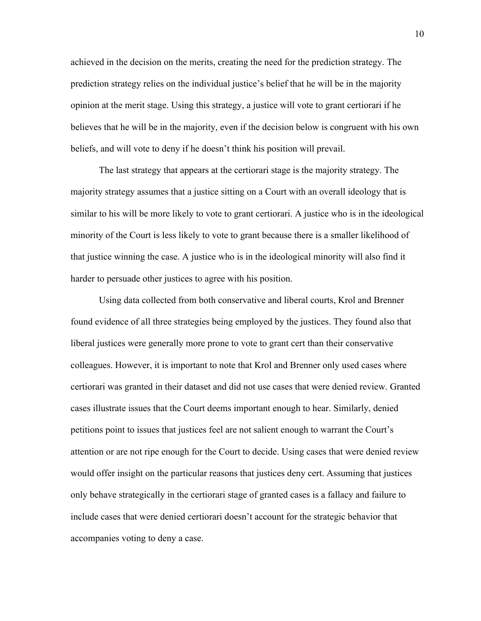achieved in the decision on the merits, creating the need for the prediction strategy. The prediction strategy relies on the individual justice's belief that he will be in the majority opinion at the merit stage. Using this strategy, a justice will vote to grant certiorari if he believes that he will be in the majority, even if the decision below is congruent with his own beliefs, and will vote to deny if he doesn't think his position will prevail.

The last strategy that appears at the certiorari stage is the majority strategy. The majority strategy assumes that a justice sitting on a Court with an overall ideology that is similar to his will be more likely to vote to grant certiorari. A justice who is in the ideological minority of the Court is less likely to vote to grant because there is a smaller likelihood of that justice winning the case. A justice who is in the ideological minority will also find it harder to persuade other justices to agree with his position.

Using data collected from both conservative and liberal courts, Krol and Brenner found evidence of all three strategies being employed by the justices. They found also that liberal justices were generally more prone to vote to grant cert than their conservative colleagues. However, it is important to note that Krol and Brenner only used cases where certiorari was granted in their dataset and did not use cases that were denied review. Granted cases illustrate issues that the Court deems important enough to hear. Similarly, denied petitions point to issues that justices feel are not salient enough to warrant the Court's attention or are not ripe enough for the Court to decide. Using cases that were denied review would offer insight on the particular reasons that justices deny cert. Assuming that justices only behave strategically in the certiorari stage of granted cases is a fallacy and failure to include cases that were denied certiorari doesn't account for the strategic behavior that accompanies voting to deny a case.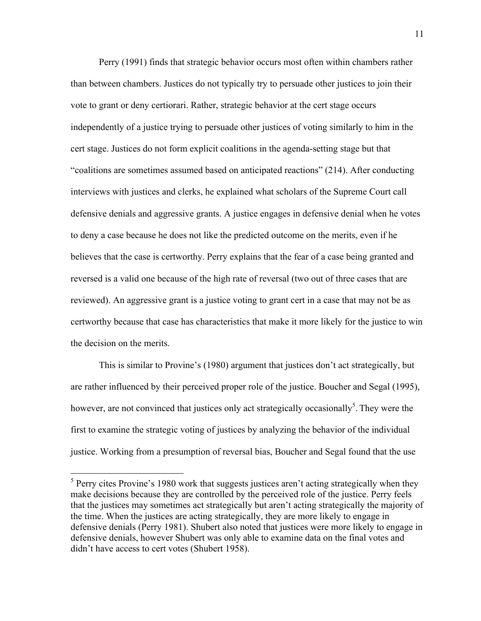Perry (1991) finds that strategic behavior occurs most often within chambers rather than between chambers. Justices do not typically try to persuade other justices to join their vote to grant or deny certiorari. Rather, strategic behavior at the cert stage occurs independently of a justice trying to persuade other justices of voting similarly to him in the cert stage. Justices do not form explicit coalitions in the agenda-setting stage but that "coalitions are sometimes assumed based on anticipated reactions" (214). After conducting interviews with justices and clerks, he explained what scholars of the Supreme Court call defensive denials and aggressive grants. A justice engages in defensive denial when he votes to deny a case because he does not like the predicted outcome on the merits, even if he believes that the case is certworthy. Perry explains that the fear of a case being granted and reversed is a valid one because of the high rate of reversal (two out of three cases that are reviewed). An aggressive grant is a justice voting to grant cert in a case that may not be as certworthy because that case has characteristics that make it more likely for the justice to win the decision on the merits.

This is similar to Provine's (1980) argument that justices don't act strategically, but are rather influenced by their perceived proper role of the justice. Boucher and Segal (1995), however, are not convinced that justices only act strategically occasionally<sup>5</sup>. They were the first to examine the strategic voting of justices by analyzing the behavior of the individual justice. Working from a presumption of reversal bias, Boucher and Segal found that the use

 $<sup>5</sup>$  Perry cites Provine's 1980 work that suggests justices aren't acting strategically when they</sup> make decisions because they are controlled by the perceived role of the justice. Perry feels that the justices may sometimes act strategically but aren't acting strategically the majority of the time. When the justices are acting strategically, they are more likely to engage in defensive denials (Perry 1981). Shubert also noted that justices were more likely to engage in defensive denials, however Shubert was only able to examine data on the final votes and didn't have access to cert votes (Shubert 1958).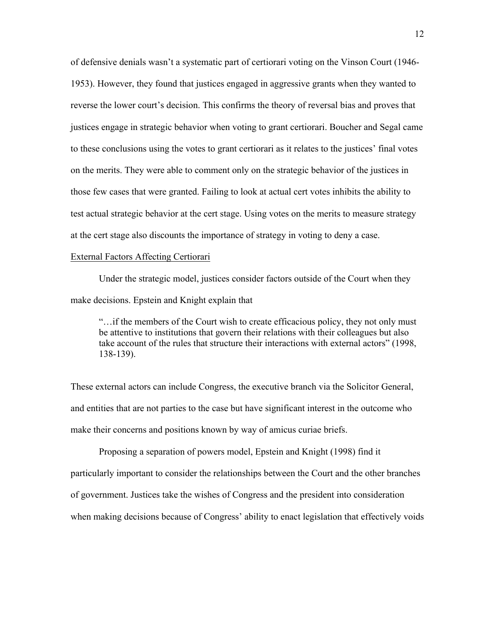of defensive denials wasn't a systematic part of certiorari voting on the Vinson Court (1946- 1953). However, they found that justices engaged in aggressive grants when they wanted to reverse the lower court's decision. This confirms the theory of reversal bias and proves that justices engage in strategic behavior when voting to grant certiorari. Boucher and Segal came to these conclusions using the votes to grant certiorari as it relates to the justices' final votes on the merits. They were able to comment only on the strategic behavior of the justices in those few cases that were granted. Failing to look at actual cert votes inhibits the ability to test actual strategic behavior at the cert stage. Using votes on the merits to measure strategy at the cert stage also discounts the importance of strategy in voting to deny a case.

#### External Factors Affecting Certiorari

Under the strategic model, justices consider factors outside of the Court when they make decisions. Epstein and Knight explain that

"…if the members of the Court wish to create efficacious policy, they not only must be attentive to institutions that govern their relations with their colleagues but also take account of the rules that structure their interactions with external actors" (1998, 138-139).

These external actors can include Congress, the executive branch via the Solicitor General, and entities that are not parties to the case but have significant interest in the outcome who make their concerns and positions known by way of amicus curiae briefs.

Proposing a separation of powers model, Epstein and Knight (1998) find it particularly important to consider the relationships between the Court and the other branches of government. Justices take the wishes of Congress and the president into consideration when making decisions because of Congress' ability to enact legislation that effectively voids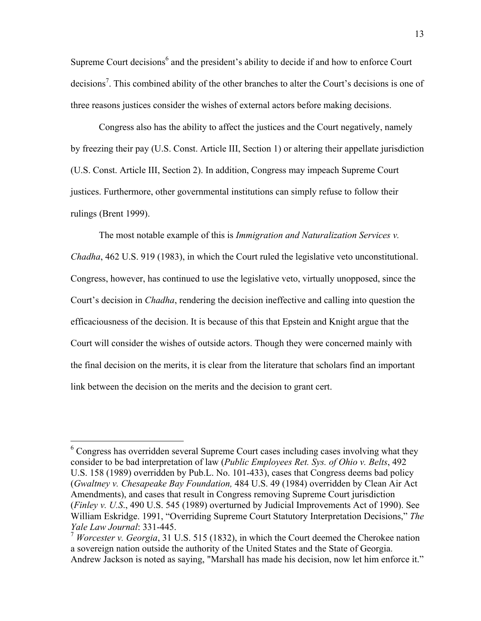Supreme Court decisions<sup>6</sup> and the president's ability to decide if and how to enforce Court decisions<sup>7</sup>. This combined ability of the other branches to alter the Court's decisions is one of three reasons justices consider the wishes of external actors before making decisions.

Congress also has the ability to affect the justices and the Court negatively, namely by freezing their pay (U.S. Const. Article III, Section 1) or altering their appellate jurisdiction (U.S. Const. Article III, Section 2). In addition, Congress may impeach Supreme Court justices. Furthermore, other governmental institutions can simply refuse to follow their rulings (Brent 1999).

The most notable example of this is *Immigration and Naturalization Services v. Chadha*, 462 U.S. 919 (1983), in which the Court ruled the legislative veto unconstitutional. Congress, however, has continued to use the legislative veto, virtually unopposed, since the Court's decision in *Chadha*, rendering the decision ineffective and calling into question the efficaciousness of the decision. It is because of this that Epstein and Knight argue that the Court will consider the wishes of outside actors. Though they were concerned mainly with the final decision on the merits, it is clear from the literature that scholars find an important link between the decision on the merits and the decision to grant cert.

 <sup>6</sup> Congress has overridden several Supreme Court cases including cases involving what they consider to be bad interpretation of law (*Public Employees Ret. Sys. of Ohio v. Belts*, 492 U.S. 158 (1989) overridden by Pub.L. No. 101-433), cases that Congress deems bad policy (*Gwaltney v. Chesapeake Bay Foundation,* 484 U.S. 49 (1984) overridden by Clean Air Act Amendments), and cases that result in Congress removing Supreme Court jurisdiction (*Finley v. U.S*., 490 U.S. 545 (1989) overturned by Judicial Improvements Act of 1990). See William Eskridge. 1991, "Overriding Supreme Court Statutory Interpretation Decisions," *The Yale Law Journal*: 331-445.

<sup>7</sup> *Worcester v. Georgia*, 31 U.S. 515 (1832), in which the Court deemed the Cherokee nation a sovereign nation outside the authority of the United States and the State of Georgia. Andrew Jackson is noted as saying, "Marshall has made his decision, now let him enforce it."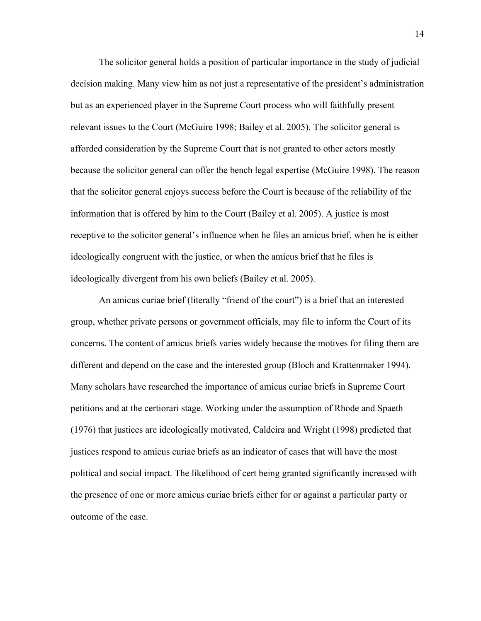The solicitor general holds a position of particular importance in the study of judicial decision making. Many view him as not just a representative of the president's administration but as an experienced player in the Supreme Court process who will faithfully present relevant issues to the Court (McGuire 1998; Bailey et al. 2005). The solicitor general is afforded consideration by the Supreme Court that is not granted to other actors mostly because the solicitor general can offer the bench legal expertise (McGuire 1998). The reason that the solicitor general enjoys success before the Court is because of the reliability of the information that is offered by him to the Court (Bailey et al. 2005). A justice is most receptive to the solicitor general's influence when he files an amicus brief, when he is either ideologically congruent with the justice, or when the amicus brief that he files is ideologically divergent from his own beliefs (Bailey et al. 2005).

An amicus curiae brief (literally "friend of the court") is a brief that an interested group, whether private persons or government officials, may file to inform the Court of its concerns. The content of amicus briefs varies widely because the motives for filing them are different and depend on the case and the interested group (Bloch and Krattenmaker 1994). Many scholars have researched the importance of amicus curiae briefs in Supreme Court petitions and at the certiorari stage. Working under the assumption of Rhode and Spaeth (1976) that justices are ideologically motivated, Caldeira and Wright (1998) predicted that justices respond to amicus curiae briefs as an indicator of cases that will have the most political and social impact. The likelihood of cert being granted significantly increased with the presence of one or more amicus curiae briefs either for or against a particular party or outcome of the case.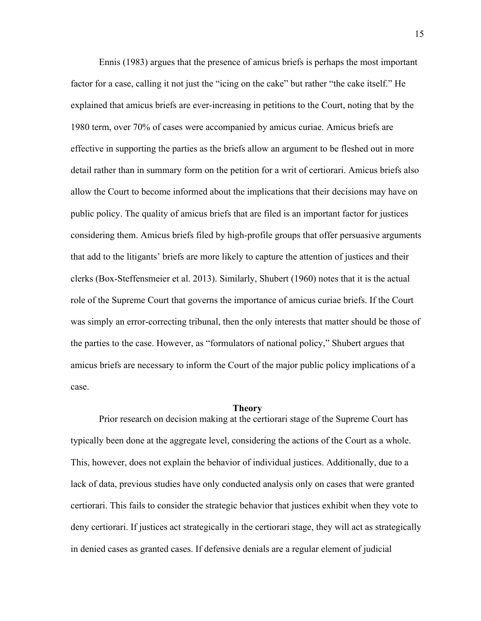Ennis (1983) argues that the presence of amicus briefs is perhaps the most important factor for a case, calling it not just the "icing on the cake" but rather "the cake itself." He explained that amicus briefs are ever-increasing in petitions to the Court, noting that by the 1980 term, over 70% of cases were accompanied by amicus curiae. Amicus briefs are effective in supporting the parties as the briefs allow an argument to be fleshed out in more detail rather than in summary form on the petition for a writ of certiorari. Amicus briefs also allow the Court to become informed about the implications that their decisions may have on public policy. The quality of amicus briefs that are filed is an important factor for justices considering them. Amicus briefs filed by high-profile groups that offer persuasive arguments that add to the litigants' briefs are more likely to capture the attention of justices and their clerks (Box-Steffensmeier et al. 2013). Similarly, Shubert (1960) notes that it is the actual role of the Supreme Court that governs the importance of amicus curiae briefs. If the Court was simply an error-correcting tribunal, then the only interests that matter should be those of the parties to the case. However, as "formulators of national policy," Shubert argues that amicus briefs are necessary to inform the Court of the major public policy implications of a case.

#### **Theory**

Prior research on decision making at the certiorari stage of the Supreme Court has typically been done at the aggregate level, considering the actions of the Court as a whole. This, however, does not explain the behavior of individual justices. Additionally, due to a lack of data, previous studies have only conducted analysis only on cases that were granted certiorari. This fails to consider the strategic behavior that justices exhibit when they vote to deny certiorari. If justices act strategically in the certiorari stage, they will act as strategically in denied cases as granted cases. If defensive denials are a regular element of judicial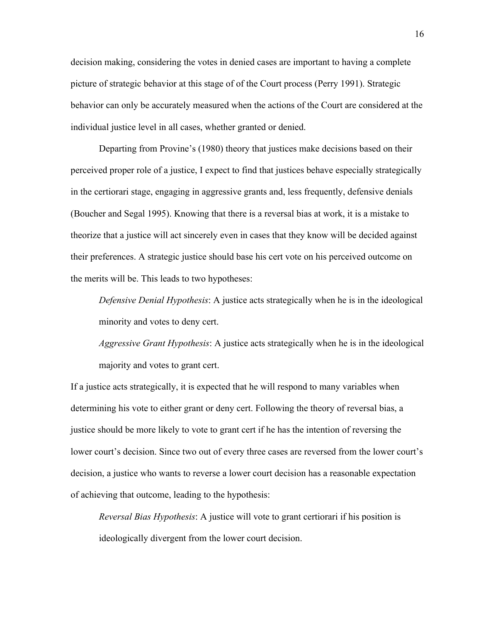decision making, considering the votes in denied cases are important to having a complete picture of strategic behavior at this stage of of the Court process (Perry 1991). Strategic behavior can only be accurately measured when the actions of the Court are considered at the individual justice level in all cases, whether granted or denied.

Departing from Provine's (1980) theory that justices make decisions based on their perceived proper role of a justice, I expect to find that justices behave especially strategically in the certiorari stage, engaging in aggressive grants and, less frequently, defensive denials (Boucher and Segal 1995). Knowing that there is a reversal bias at work, it is a mistake to theorize that a justice will act sincerely even in cases that they know will be decided against their preferences. A strategic justice should base his cert vote on his perceived outcome on the merits will be. This leads to two hypotheses:

*Defensive Denial Hypothesis*: A justice acts strategically when he is in the ideological minority and votes to deny cert.

*Aggressive Grant Hypothesis*: A justice acts strategically when he is in the ideological majority and votes to grant cert.

If a justice acts strategically, it is expected that he will respond to many variables when determining his vote to either grant or deny cert. Following the theory of reversal bias, a justice should be more likely to vote to grant cert if he has the intention of reversing the lower court's decision. Since two out of every three cases are reversed from the lower court's decision, a justice who wants to reverse a lower court decision has a reasonable expectation of achieving that outcome, leading to the hypothesis:

*Reversal Bias Hypothesis*: A justice will vote to grant certiorari if his position is ideologically divergent from the lower court decision.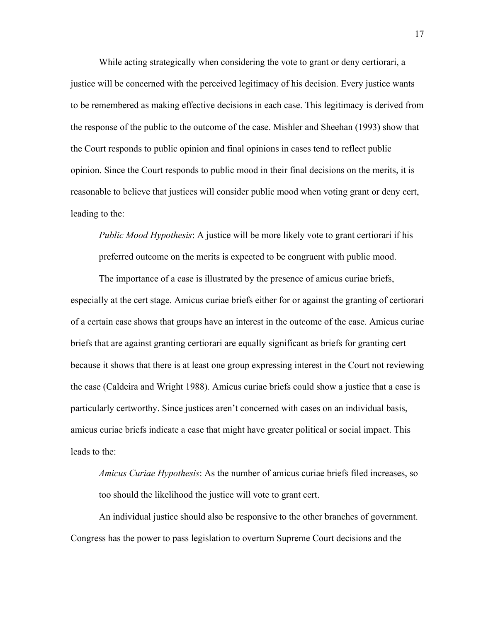While acting strategically when considering the vote to grant or deny certiorari, a justice will be concerned with the perceived legitimacy of his decision. Every justice wants to be remembered as making effective decisions in each case. This legitimacy is derived from the response of the public to the outcome of the case. Mishler and Sheehan (1993) show that the Court responds to public opinion and final opinions in cases tend to reflect public opinion. Since the Court responds to public mood in their final decisions on the merits, it is reasonable to believe that justices will consider public mood when voting grant or deny cert, leading to the:

*Public Mood Hypothesis*: A justice will be more likely vote to grant certiorari if his preferred outcome on the merits is expected to be congruent with public mood.

The importance of a case is illustrated by the presence of amicus curiae briefs, especially at the cert stage. Amicus curiae briefs either for or against the granting of certiorari of a certain case shows that groups have an interest in the outcome of the case. Amicus curiae briefs that are against granting certiorari are equally significant as briefs for granting cert because it shows that there is at least one group expressing interest in the Court not reviewing the case (Caldeira and Wright 1988). Amicus curiae briefs could show a justice that a case is particularly certworthy. Since justices aren't concerned with cases on an individual basis, amicus curiae briefs indicate a case that might have greater political or social impact. This leads to the:

*Amicus Curiae Hypothesis*: As the number of amicus curiae briefs filed increases, so too should the likelihood the justice will vote to grant cert.

An individual justice should also be responsive to the other branches of government. Congress has the power to pass legislation to overturn Supreme Court decisions and the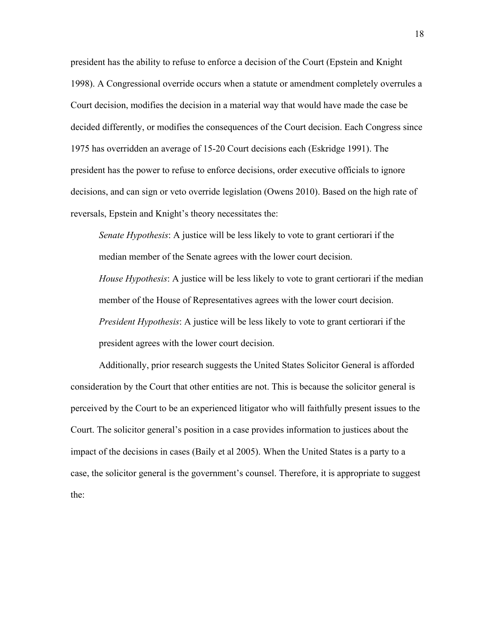president has the ability to refuse to enforce a decision of the Court (Epstein and Knight 1998). A Congressional override occurs when a statute or amendment completely overrules a Court decision, modifies the decision in a material way that would have made the case be decided differently, or modifies the consequences of the Court decision. Each Congress since 1975 has overridden an average of 15-20 Court decisions each (Eskridge 1991). The president has the power to refuse to enforce decisions, order executive officials to ignore decisions, and can sign or veto override legislation (Owens 2010). Based on the high rate of reversals, Epstein and Knight's theory necessitates the:

*Senate Hypothesis*: A justice will be less likely to vote to grant certiorari if the median member of the Senate agrees with the lower court decision.

*House Hypothesis*: A justice will be less likely to vote to grant certiorari if the median member of the House of Representatives agrees with the lower court decision. *President Hypothesis*: A justice will be less likely to vote to grant certiorari if the president agrees with the lower court decision.

Additionally, prior research suggests the United States Solicitor General is afforded consideration by the Court that other entities are not. This is because the solicitor general is perceived by the Court to be an experienced litigator who will faithfully present issues to the Court. The solicitor general's position in a case provides information to justices about the impact of the decisions in cases (Baily et al 2005). When the United States is a party to a case, the solicitor general is the government's counsel. Therefore, it is appropriate to suggest the: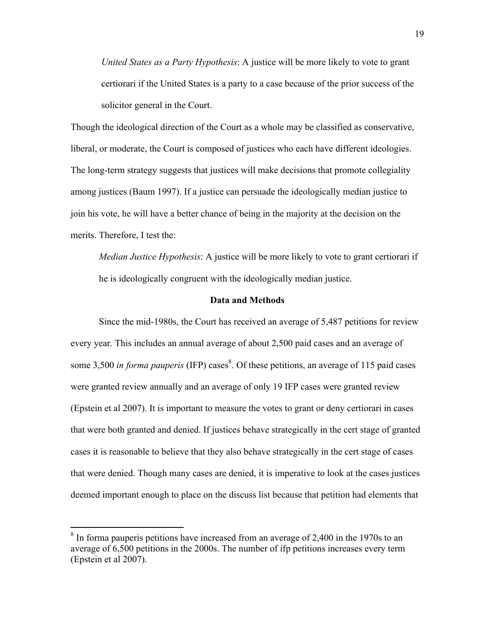*United States as a Party Hypothesis*: A justice will be more likely to vote to grant certiorari if the United States is a party to a case because of the prior success of the solicitor general in the Court.

Though the ideological direction of the Court as a whole may be classified as conservative, liberal, or moderate, the Court is composed of justices who each have different ideologies. The long-term strategy suggests that justices will make decisions that promote collegiality among justices (Baum 1997). If a justice can persuade the ideologically median justice to join his vote, he will have a better chance of being in the majority at the decision on the merits. Therefore, I test the:

*Median Justice Hypothesis*: A justice will be more likely to vote to grant certiorari if he is ideologically congruent with the ideologically median justice.

#### **Data and Methods**

Since the mid-1980s, the Court has received an average of 5,487 petitions for review every year. This includes an annual average of about 2,500 paid cases and an average of some 3,500 *in forma pauperis* (IFP) cases<sup>8</sup>. Of these petitions, an average of 115 paid cases were granted review annually and an average of only 19 IFP cases were granted review (Epstein et al 2007). It is important to measure the votes to grant or deny certiorari in cases that were both granted and denied. If justices behave strategically in the cert stage of granted cases it is reasonable to believe that they also behave strategically in the cert stage of cases that were denied. Though many cases are denied, it is imperative to look at the cases justices deemed important enough to place on the discuss list because that petition had elements that

 $8$  In forma pauperis petitions have increased from an average of 2,400 in the 1970s to an average of 6,500 petitions in the 2000s. The number of ifp petitions increases every term (Epstein et al 2007).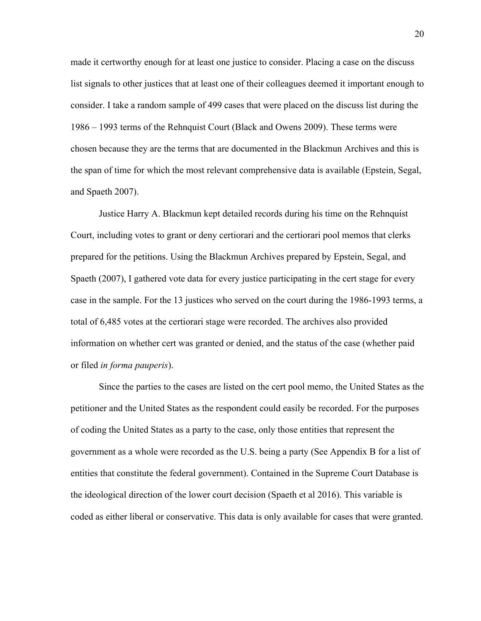made it certworthy enough for at least one justice to consider. Placing a case on the discuss list signals to other justices that at least one of their colleagues deemed it important enough to consider. I take a random sample of 499 cases that were placed on the discuss list during the 1986 – 1993 terms of the Rehnquist Court (Black and Owens 2009). These terms were chosen because they are the terms that are documented in the Blackmun Archives and this is the span of time for which the most relevant comprehensive data is available (Epstein, Segal, and Spaeth 2007).

Justice Harry A. Blackmun kept detailed records during his time on the Rehnquist Court, including votes to grant or deny certiorari and the certiorari pool memos that clerks prepared for the petitions. Using the Blackmun Archives prepared by Epstein, Segal, and Spaeth (2007), I gathered vote data for every justice participating in the cert stage for every case in the sample. For the 13 justices who served on the court during the 1986-1993 terms, a total of 6,485 votes at the certiorari stage were recorded. The archives also provided information on whether cert was granted or denied, and the status of the case (whether paid or filed *in forma pauperis*).

Since the parties to the cases are listed on the cert pool memo, the United States as the petitioner and the United States as the respondent could easily be recorded. For the purposes of coding the United States as a party to the case, only those entities that represent the government as a whole were recorded as the U.S. being a party (See Appendix B for a list of entities that constitute the federal government). Contained in the Supreme Court Database is the ideological direction of the lower court decision (Spaeth et al 2016). This variable is coded as either liberal or conservative. This data is only available for cases that were granted.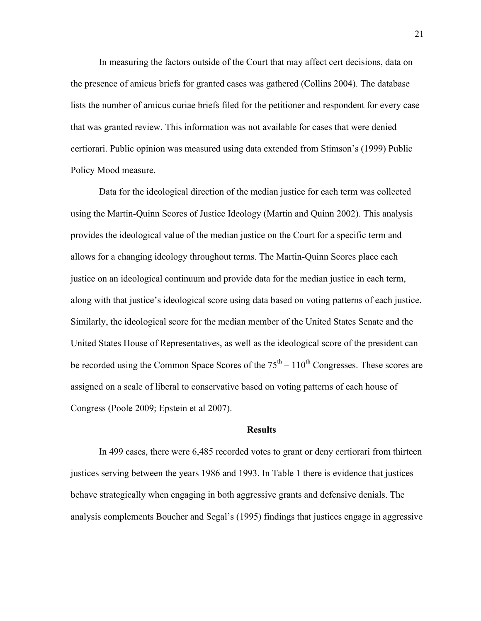In measuring the factors outside of the Court that may affect cert decisions, data on the presence of amicus briefs for granted cases was gathered (Collins 2004). The database lists the number of amicus curiae briefs filed for the petitioner and respondent for every case that was granted review. This information was not available for cases that were denied certiorari. Public opinion was measured using data extended from Stimson's (1999) Public Policy Mood measure.

Data for the ideological direction of the median justice for each term was collected using the Martin-Quinn Scores of Justice Ideology (Martin and Quinn 2002). This analysis provides the ideological value of the median justice on the Court for a specific term and allows for a changing ideology throughout terms. The Martin-Quinn Scores place each justice on an ideological continuum and provide data for the median justice in each term, along with that justice's ideological score using data based on voting patterns of each justice. Similarly, the ideological score for the median member of the United States Senate and the United States House of Representatives, as well as the ideological score of the president can be recorded using the Common Space Scores of the  $75<sup>th</sup> - 110<sup>th</sup>$  Congresses. These scores are assigned on a scale of liberal to conservative based on voting patterns of each house of Congress (Poole 2009; Epstein et al 2007).

#### **Results**

In 499 cases, there were 6,485 recorded votes to grant or deny certiorari from thirteen justices serving between the years 1986 and 1993. In Table 1 there is evidence that justices behave strategically when engaging in both aggressive grants and defensive denials. The analysis complements Boucher and Segal's (1995) findings that justices engage in aggressive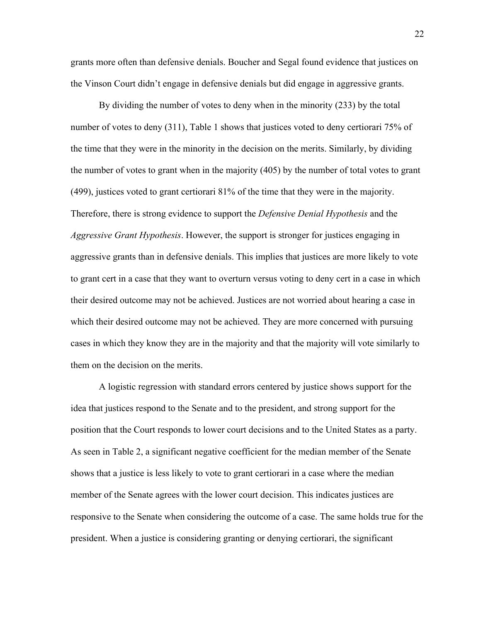grants more often than defensive denials. Boucher and Segal found evidence that justices on the Vinson Court didn't engage in defensive denials but did engage in aggressive grants.

By dividing the number of votes to deny when in the minority (233) by the total number of votes to deny (311), Table 1 shows that justices voted to deny certiorari 75% of the time that they were in the minority in the decision on the merits. Similarly, by dividing the number of votes to grant when in the majority (405) by the number of total votes to grant (499), justices voted to grant certiorari 81% of the time that they were in the majority. Therefore, there is strong evidence to support the *Defensive Denial Hypothesis* and the *Aggressive Grant Hypothesis*. However, the support is stronger for justices engaging in aggressive grants than in defensive denials. This implies that justices are more likely to vote to grant cert in a case that they want to overturn versus voting to deny cert in a case in which their desired outcome may not be achieved. Justices are not worried about hearing a case in which their desired outcome may not be achieved. They are more concerned with pursuing cases in which they know they are in the majority and that the majority will vote similarly to them on the decision on the merits.

A logistic regression with standard errors centered by justice shows support for the idea that justices respond to the Senate and to the president, and strong support for the position that the Court responds to lower court decisions and to the United States as a party. As seen in Table 2, a significant negative coefficient for the median member of the Senate shows that a justice is less likely to vote to grant certiorari in a case where the median member of the Senate agrees with the lower court decision. This indicates justices are responsive to the Senate when considering the outcome of a case. The same holds true for the president. When a justice is considering granting or denying certiorari, the significant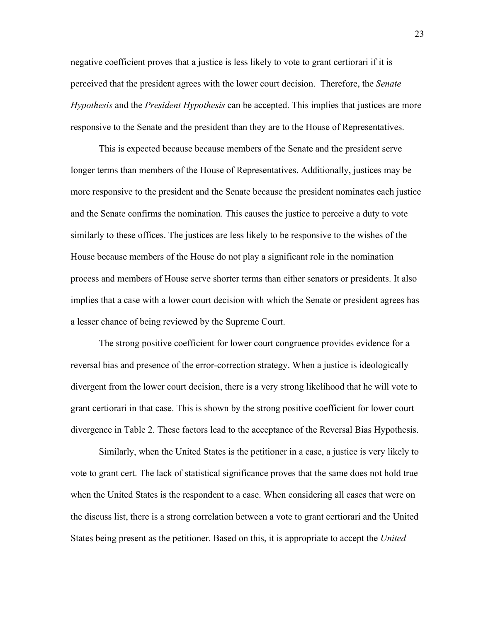negative coefficient proves that a justice is less likely to vote to grant certiorari if it is perceived that the president agrees with the lower court decision. Therefore, the *Senate Hypothesis* and the *President Hypothesis* can be accepted. This implies that justices are more responsive to the Senate and the president than they are to the House of Representatives.

This is expected because because members of the Senate and the president serve longer terms than members of the House of Representatives. Additionally, justices may be more responsive to the president and the Senate because the president nominates each justice and the Senate confirms the nomination. This causes the justice to perceive a duty to vote similarly to these offices. The justices are less likely to be responsive to the wishes of the House because members of the House do not play a significant role in the nomination process and members of House serve shorter terms than either senators or presidents. It also implies that a case with a lower court decision with which the Senate or president agrees has a lesser chance of being reviewed by the Supreme Court.

The strong positive coefficient for lower court congruence provides evidence for a reversal bias and presence of the error-correction strategy. When a justice is ideologically divergent from the lower court decision, there is a very strong likelihood that he will vote to grant certiorari in that case. This is shown by the strong positive coefficient for lower court divergence in Table 2. These factors lead to the acceptance of the Reversal Bias Hypothesis.

Similarly, when the United States is the petitioner in a case, a justice is very likely to vote to grant cert. The lack of statistical significance proves that the same does not hold true when the United States is the respondent to a case. When considering all cases that were on the discuss list, there is a strong correlation between a vote to grant certiorari and the United States being present as the petitioner. Based on this, it is appropriate to accept the *United*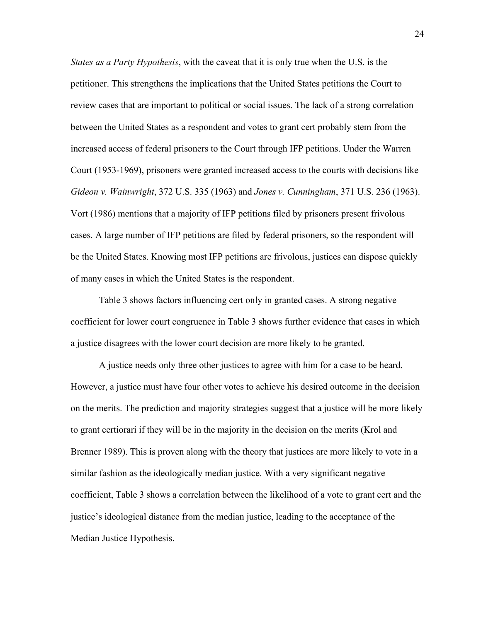*States as a Party Hypothesis*, with the caveat that it is only true when the U.S. is the petitioner. This strengthens the implications that the United States petitions the Court to review cases that are important to political or social issues. The lack of a strong correlation between the United States as a respondent and votes to grant cert probably stem from the increased access of federal prisoners to the Court through IFP petitions. Under the Warren Court (1953-1969), prisoners were granted increased access to the courts with decisions like *Gideon v. Wainwright*, 372 U.S. 335 (1963) and *Jones v. Cunningham*, 371 U.S. 236 (1963). Vort (1986) mentions that a majority of IFP petitions filed by prisoners present frivolous cases. A large number of IFP petitions are filed by federal prisoners, so the respondent will be the United States. Knowing most IFP petitions are frivolous, justices can dispose quickly of many cases in which the United States is the respondent.

Table 3 shows factors influencing cert only in granted cases. A strong negative coefficient for lower court congruence in Table 3 shows further evidence that cases in which a justice disagrees with the lower court decision are more likely to be granted.

A justice needs only three other justices to agree with him for a case to be heard. However, a justice must have four other votes to achieve his desired outcome in the decision on the merits. The prediction and majority strategies suggest that a justice will be more likely to grant certiorari if they will be in the majority in the decision on the merits (Krol and Brenner 1989). This is proven along with the theory that justices are more likely to vote in a similar fashion as the ideologically median justice. With a very significant negative coefficient, Table 3 shows a correlation between the likelihood of a vote to grant cert and the justice's ideological distance from the median justice, leading to the acceptance of the Median Justice Hypothesis.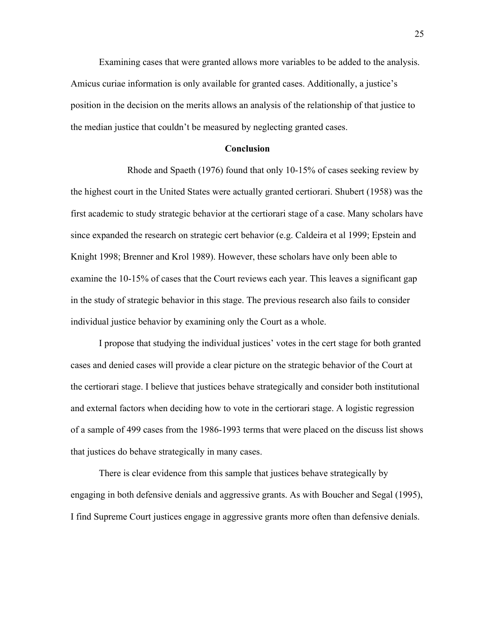Examining cases that were granted allows more variables to be added to the analysis. Amicus curiae information is only available for granted cases. Additionally, a justice's position in the decision on the merits allows an analysis of the relationship of that justice to the median justice that couldn't be measured by neglecting granted cases.

### **Conclusion**

Rhode and Spaeth (1976) found that only 10-15% of cases seeking review by the highest court in the United States were actually granted certiorari. Shubert (1958) was the first academic to study strategic behavior at the certiorari stage of a case. Many scholars have since expanded the research on strategic cert behavior (e.g. Caldeira et al 1999; Epstein and Knight 1998; Brenner and Krol 1989). However, these scholars have only been able to examine the 10-15% of cases that the Court reviews each year. This leaves a significant gap in the study of strategic behavior in this stage. The previous research also fails to consider individual justice behavior by examining only the Court as a whole.

I propose that studying the individual justices' votes in the cert stage for both granted cases and denied cases will provide a clear picture on the strategic behavior of the Court at the certiorari stage. I believe that justices behave strategically and consider both institutional and external factors when deciding how to vote in the certiorari stage. A logistic regression of a sample of 499 cases from the 1986-1993 terms that were placed on the discuss list shows that justices do behave strategically in many cases.

There is clear evidence from this sample that justices behave strategically by engaging in both defensive denials and aggressive grants. As with Boucher and Segal (1995), I find Supreme Court justices engage in aggressive grants more often than defensive denials.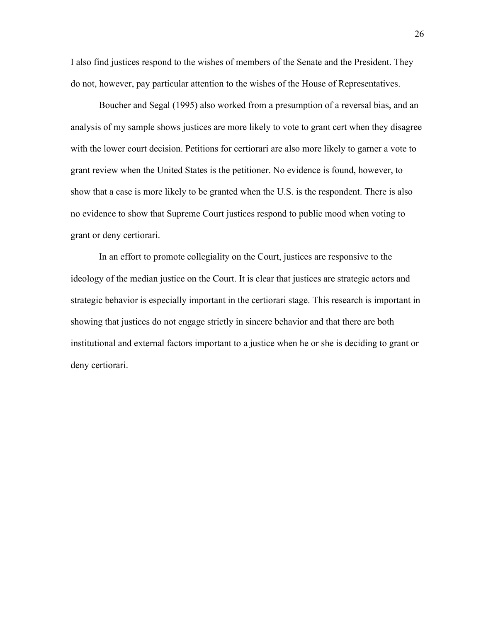I also find justices respond to the wishes of members of the Senate and the President. They do not, however, pay particular attention to the wishes of the House of Representatives.

Boucher and Segal (1995) also worked from a presumption of a reversal bias, and an analysis of my sample shows justices are more likely to vote to grant cert when they disagree with the lower court decision. Petitions for certiorari are also more likely to garner a vote to grant review when the United States is the petitioner. No evidence is found, however, to show that a case is more likely to be granted when the U.S. is the respondent. There is also no evidence to show that Supreme Court justices respond to public mood when voting to grant or deny certiorari.

In an effort to promote collegiality on the Court, justices are responsive to the ideology of the median justice on the Court. It is clear that justices are strategic actors and strategic behavior is especially important in the certiorari stage. This research is important in showing that justices do not engage strictly in sincere behavior and that there are both institutional and external factors important to a justice when he or she is deciding to grant or deny certiorari.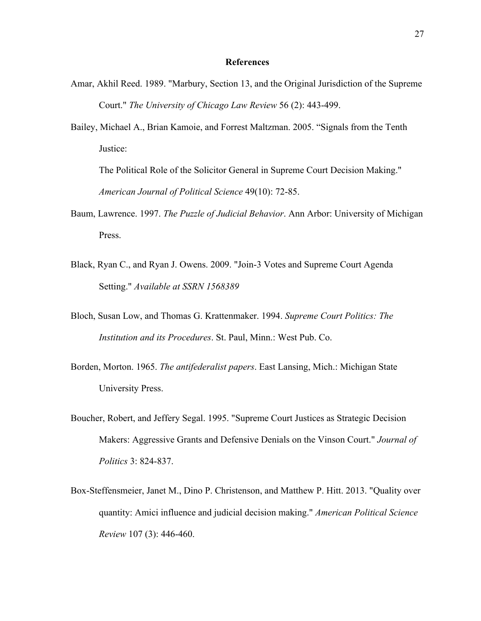#### **References**

- Amar, Akhil Reed. 1989. "Marbury, Section 13, and the Original Jurisdiction of the Supreme Court." *The University of Chicago Law Review* 56 (2): 443-499.
- Bailey, Michael A., Brian Kamoie, and Forrest Maltzman. 2005. "Signals from the Tenth Justice:

The Political Role of the Solicitor General in Supreme Court Decision Making." *American Journal of Political Science* 49(10): 72-85.

- Baum, Lawrence. 1997. *The Puzzle of Judicial Behavior*. Ann Arbor: University of Michigan Press.
- Black, Ryan C., and Ryan J. Owens. 2009. "Join-3 Votes and Supreme Court Agenda Setting." *Available at SSRN 1568389*
- Bloch, Susan Low, and Thomas G. Krattenmaker. 1994. *Supreme Court Politics: The Institution and its Procedures*. St. Paul, Minn.: West Pub. Co.
- Borden, Morton. 1965. *The antifederalist papers*. East Lansing, Mich.: Michigan State University Press.
- Boucher, Robert, and Jeffery Segal. 1995. "Supreme Court Justices as Strategic Decision Makers: Aggressive Grants and Defensive Denials on the Vinson Court." *Journal of Politics* 3: 824-837.
- Box-Steffensmeier, Janet M., Dino P. Christenson, and Matthew P. Hitt. 2013. "Quality over quantity: Amici influence and judicial decision making." *American Political Science Review* 107 (3): 446-460.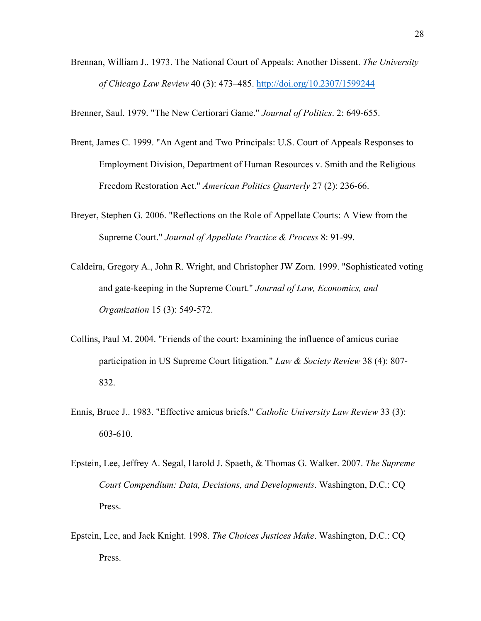Brennan, William J.. 1973. The National Court of Appeals: Another Dissent. *The University of Chicago Law Review* 40 (3): 473–485. http://doi.org/10.2307/1599244

Brenner, Saul. 1979. "The New Certiorari Game." *Journal of Politics*. 2: 649-655.

- Brent, James C. 1999. "An Agent and Two Principals: U.S. Court of Appeals Responses to Employment Division, Department of Human Resources v. Smith and the Religious Freedom Restoration Act." *American Politics Quarterly* 27 (2): 236-66.
- Breyer, Stephen G. 2006. "Reflections on the Role of Appellate Courts: A View from the Supreme Court." *Journal of Appellate Practice & Process* 8: 91-99.
- Caldeira, Gregory A., John R. Wright, and Christopher JW Zorn. 1999. "Sophisticated voting and gate-keeping in the Supreme Court." *Journal of Law, Economics, and Organization* 15 (3): 549-572.
- Collins, Paul M. 2004. "Friends of the court: Examining the influence of amicus curiae participation in US Supreme Court litigation." *Law & Society Review* 38 (4): 807- 832.
- Ennis, Bruce J.. 1983. "Effective amicus briefs." *Catholic University Law Review* 33 (3): 603-610.
- Epstein, Lee, Jeffrey A. Segal, Harold J. Spaeth, & Thomas G. Walker. 2007. *The Supreme Court Compendium: Data, Decisions, and Developments*. Washington, D.C.: CQ Press.
- Epstein, Lee, and Jack Knight. 1998. *The Choices Justices Make*. Washington, D.C.: CQ Press.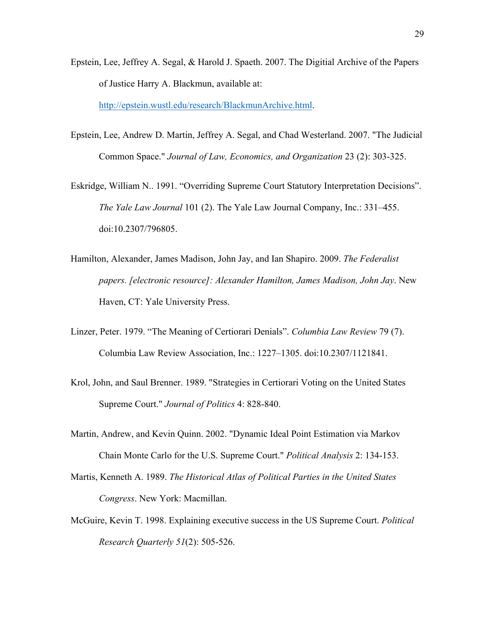Epstein, Lee, Jeffrey A. Segal, & Harold J. Spaeth. 2007. The Digitial Archive of the Papers of Justice Harry A. Blackmun, available at:

http://epstein.wustl.edu/research/BlackmunArchive.html.

- Epstein, Lee, Andrew D. Martin, Jeffrey A. Segal, and Chad Westerland. 2007. "The Judicial Common Space." *Journal of Law, Economics, and Organization* 23 (2): 303-325.
- Eskridge, William N.. 1991. "Overriding Supreme Court Statutory Interpretation Decisions". *The Yale Law Journal* 101 (2). The Yale Law Journal Company, Inc.: 331–455. doi:10.2307/796805.
- Hamilton, Alexander, James Madison, John Jay, and Ian Shapiro. 2009. *The Federalist papers. [electronic resource]: Alexander Hamilton, James Madison, John Jay*. New Haven, CT: Yale University Press.
- Linzer, Peter. 1979. "The Meaning of Certiorari Denials". *Columbia Law Review* 79 (7). Columbia Law Review Association, Inc.: 1227–1305. doi:10.2307/1121841.
- Krol, John, and Saul Brenner. 1989. "Strategies in Certiorari Voting on the United States Supreme Court." *Journal of Politics* 4: 828-840.
- Martin, Andrew, and Kevin Quinn. 2002. "Dynamic Ideal Point Estimation via Markov Chain Monte Carlo for the U.S. Supreme Court." *Political Analysis* 2: 134-153.
- Martis, Kenneth A. 1989. *The Historical Atlas of Political Parties in the United States Congress*. New York: Macmillan.
- McGuire, Kevin T. 1998. Explaining executive success in the US Supreme Court. *Political Research Quarterly 51*(2): 505-526.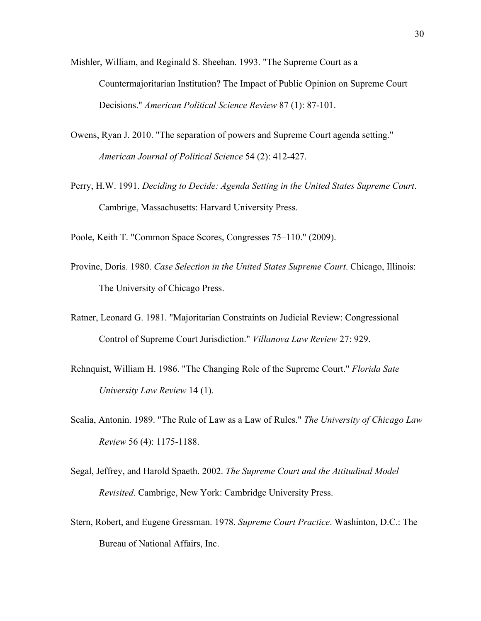- Mishler, William, and Reginald S. Sheehan. 1993. "The Supreme Court as a Countermajoritarian Institution? The Impact of Public Opinion on Supreme Court Decisions." *American Political Science Review* 87 (1): 87-101.
- Owens, Ryan J. 2010. "The separation of powers and Supreme Court agenda setting." *American Journal of Political Science* 54 (2): 412-427.
- Perry, H.W. 1991. *Deciding to Decide: Agenda Setting in the United States Supreme Court*. Cambrige, Massachusetts: Harvard University Press.

Poole, Keith T. "Common Space Scores, Congresses 75–110." (2009).

- Provine, Doris. 1980. *Case Selection in the United States Supreme Court*. Chicago, Illinois: The University of Chicago Press.
- Ratner, Leonard G. 1981. "Majoritarian Constraints on Judicial Review: Congressional Control of Supreme Court Jurisdiction." *Villanova Law Review* 27: 929.
- Rehnquist, William H. 1986. "The Changing Role of the Supreme Court." *Florida Sate University Law Review* 14 (1).
- Scalia, Antonin. 1989. "The Rule of Law as a Law of Rules." *The University of Chicago Law Review* 56 (4): 1175-1188.
- Segal, Jeffrey, and Harold Spaeth. 2002. *The Supreme Court and the Attitudinal Model Revisited*. Cambrige, New York: Cambridge University Press.
- Stern, Robert, and Eugene Gressman. 1978. *Supreme Court Practice*. Washinton, D.C.: The Bureau of National Affairs, Inc.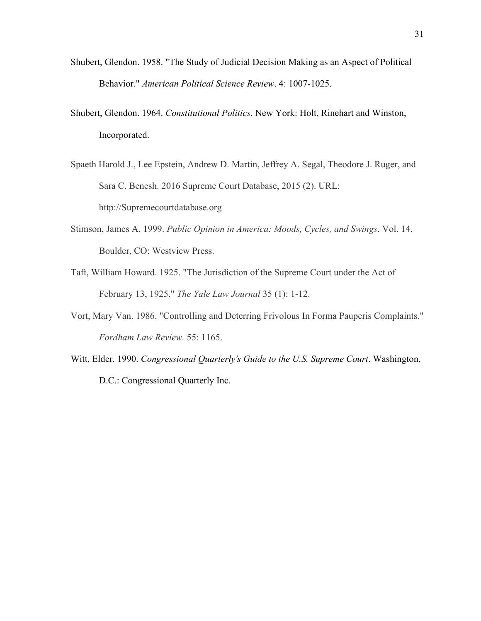- Shubert, Glendon. 1958. "The Study of Judicial Decision Making as an Aspect of Political Behavior." *American Political Science Review*. 4: 1007-1025.
- Shubert, Glendon. 1964. *Constitutional Politics*. New York: Holt, Rinehart and Winston, Incorporated.
- Spaeth Harold J., Lee Epstein, Andrew D. Martin, Jeffrey A. Segal, Theodore J. Ruger, and Sara C. Benesh. 2016 Supreme Court Database, 2015 (2). URL: http://Supremecourtdatabase.org
- Stimson, James A. 1999. *Public Opinion in America: Moods, Cycles, and Swings*. Vol. 14. Boulder, CO: Westview Press.
- Taft, William Howard. 1925. "The Jurisdiction of the Supreme Court under the Act of February 13, 1925." *The Yale Law Journal* 35 (1): 1-12.
- Vort, Mary Van. 1986. "Controlling and Deterring Frivolous In Forma Pauperis Complaints." *Fordham Law Review.* 55: 1165.
- Witt, Elder. 1990. *Congressional Quarterly's Guide to the U.S. Supreme Court*. Washington, D.C.: Congressional Quarterly Inc.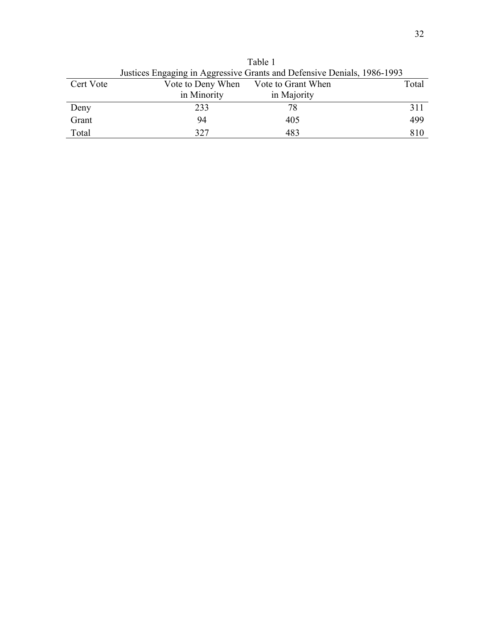|           | Justices Engaging in Aggressive Grants and Defensive Denials, 1986-1993 |                    |       |  |
|-----------|-------------------------------------------------------------------------|--------------------|-------|--|
| Cert Vote | Vote to Deny When                                                       | Vote to Grant When | Total |  |
|           | in Minority                                                             | in Majority        |       |  |
| Deny      | 233                                                                     | 78                 | 311   |  |
| Grant     | 94                                                                      | 405                | 499   |  |
| Total     | 327                                                                     | 483                | 810   |  |

Table 1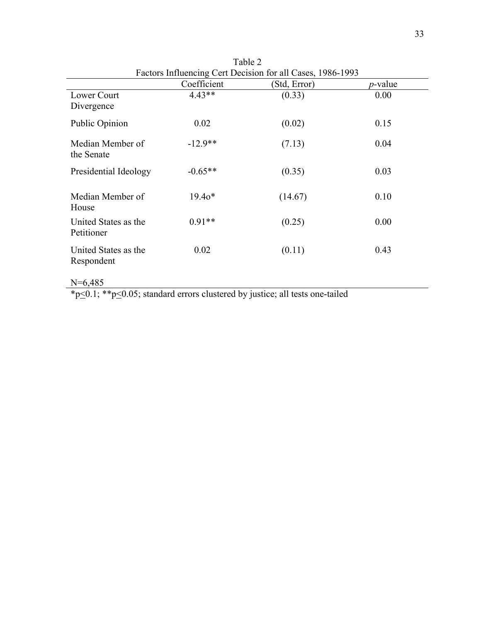|                                    | Coefficient | (Std, Error) | <i>p</i> -value |
|------------------------------------|-------------|--------------|-----------------|
| Lower Court<br>Divergence          | $4.43**$    | (0.33)       | 0.00            |
| Public Opinion                     | 0.02        | (0.02)       | 0.15            |
| Median Member of<br>the Senate     | $-12.9**$   | (7.13)       | 0.04            |
| Presidential Ideology              | $-0.65**$   | (0.35)       | 0.03            |
| Median Member of<br>House          | $19.40*$    | (14.67)      | 0.10            |
| United States as the<br>Petitioner | $0.91**$    | (0.25)       | 0.00            |
| United States as the<br>Respondent | 0.02        | (0.11)       | 0.43            |
| $N=6,485$                          |             |              |                 |

Table 2 Factors Influencing Cert Decision for all Cases, 1986-1993

\*p<0.1; \*\*p<0.05; standard errors clustered by justice; all tests one-tailed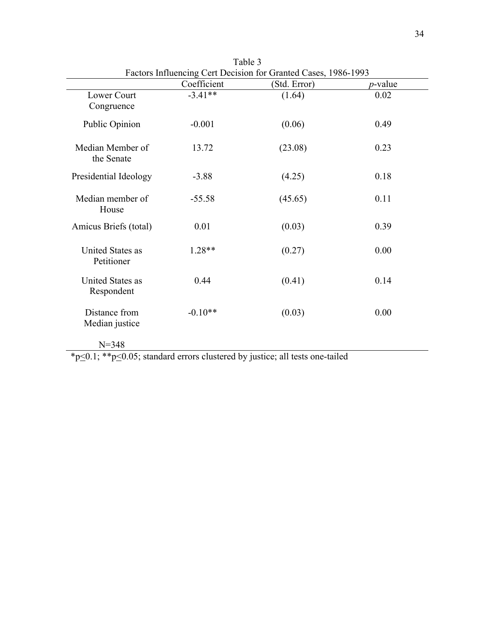|                                       | Coefficient | (Std. Error) | $p$ -value |
|---------------------------------------|-------------|--------------|------------|
| Lower Court<br>Congruence             | $-3.41**$   | (1.64)       | 0.02       |
| Public Opinion                        | $-0.001$    | (0.06)       | 0.49       |
| Median Member of<br>the Senate        | 13.72       | (23.08)      | 0.23       |
| Presidential Ideology                 | $-3.88$     | (4.25)       | 0.18       |
| Median member of<br>House             | $-55.58$    | (45.65)      | 0.11       |
| Amicus Briefs (total)                 | 0.01        | (0.03)       | 0.39       |
| <b>United States as</b><br>Petitioner | 1.28**      | (0.27)       | 0.00       |
| <b>United States as</b><br>Respondent | 0.44        | (0.41)       | 0.14       |
| Distance from<br>Median justice       | $-0.10**$   | (0.03)       | 0.00       |
| $N = 348$                             |             |              |            |

Table 3 Factors Influencing Cert Decision for Granted Cases, 1986-1993

\*p<0.1; \*\*p<0.05; standard errors clustered by justice; all tests one-tailed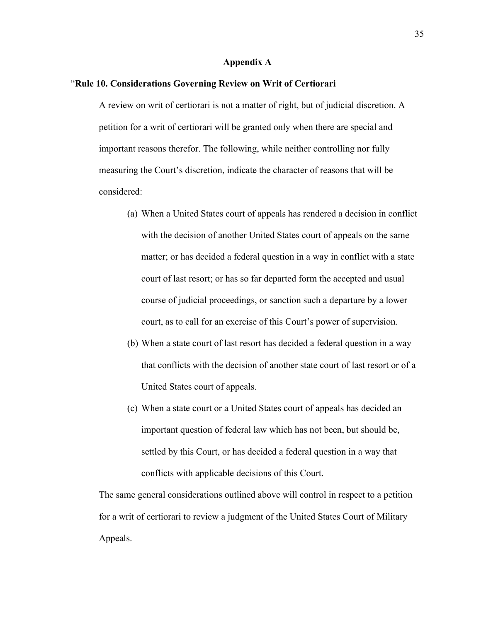## **Appendix A**

#### "**Rule 10. Considerations Governing Review on Writ of Certiorari**

A review on writ of certiorari is not a matter of right, but of judicial discretion. A petition for a writ of certiorari will be granted only when there are special and important reasons therefor. The following, while neither controlling nor fully measuring the Court's discretion, indicate the character of reasons that will be considered:

- (a) When a United States court of appeals has rendered a decision in conflict with the decision of another United States court of appeals on the same matter; or has decided a federal question in a way in conflict with a state court of last resort; or has so far departed form the accepted and usual course of judicial proceedings, or sanction such a departure by a lower court, as to call for an exercise of this Court's power of supervision.
- (b) When a state court of last resort has decided a federal question in a way that conflicts with the decision of another state court of last resort or of a United States court of appeals.
- (c) When a state court or a United States court of appeals has decided an important question of federal law which has not been, but should be, settled by this Court, or has decided a federal question in a way that conflicts with applicable decisions of this Court.

The same general considerations outlined above will control in respect to a petition for a writ of certiorari to review a judgment of the United States Court of Military Appeals.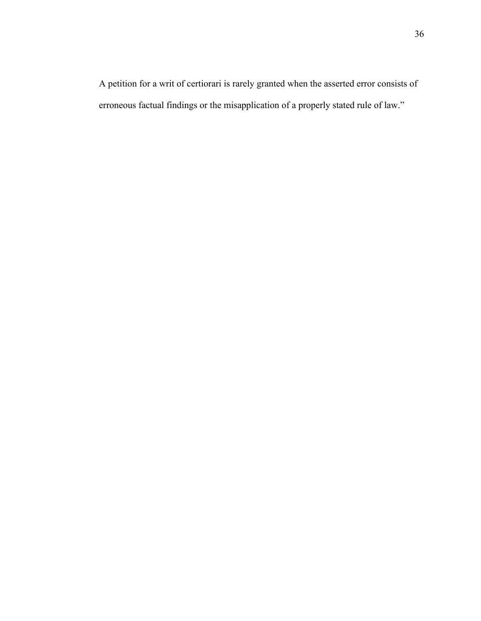A petition for a writ of certiorari is rarely granted when the asserted error consists of erroneous factual findings or the misapplication of a properly stated rule of law."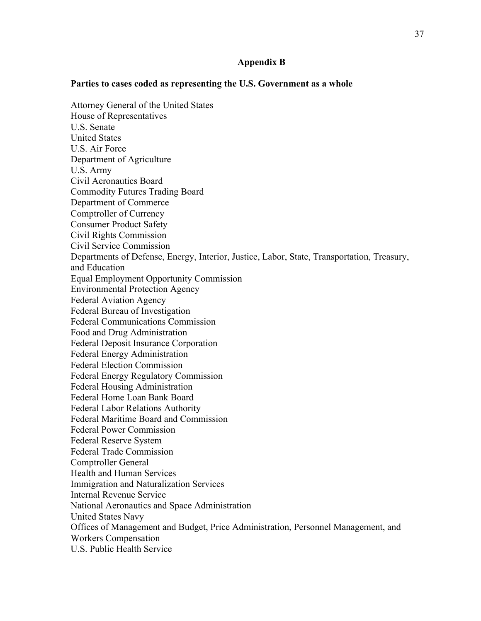## **Appendix B**

## **Parties to cases coded as representing the U.S. Government as a whole**

37

Attorney General of the United States House of Representatives U.S. Senate United States U.S. Air Force Department of Agriculture U.S. Army Civil Aeronautics Board Commodity Futures Trading Board Department of Commerce Comptroller of Currency Consumer Product Safety Civil Rights Commission Civil Service Commission Departments of Defense, Energy, Interior, Justice, Labor, State, Transportation, Treasury, and Education Equal Employment Opportunity Commission Environmental Protection Agency Federal Aviation Agency Federal Bureau of Investigation Federal Communications Commission Food and Drug Administration Federal Deposit Insurance Corporation Federal Energy Administration Federal Election Commission Federal Energy Regulatory Commission Federal Housing Administration Federal Home Loan Bank Board Federal Labor Relations Authority Federal Maritime Board and Commission Federal Power Commission Federal Reserve System Federal Trade Commission Comptroller General Health and Human Services Immigration and Naturalization Services Internal Revenue Service National Aeronautics and Space Administration United States Navy Offices of Management and Budget, Price Administration, Personnel Management, and Workers Compensation U.S. Public Health Service